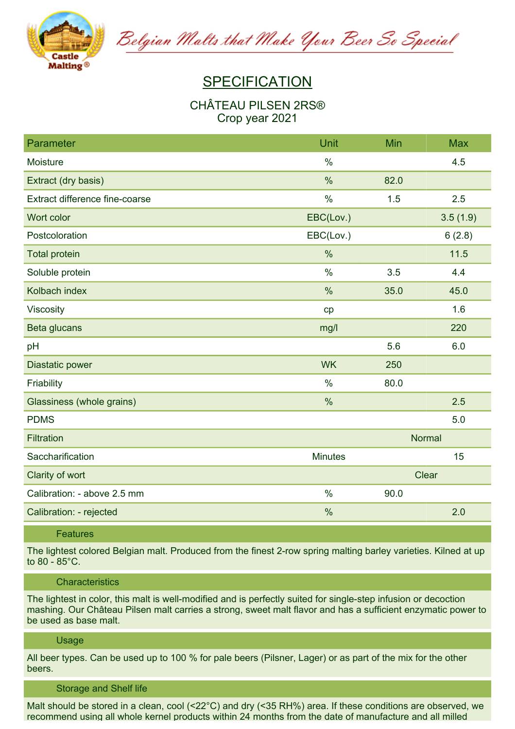

Belgian Malts that Make Your Beer So Special

# **SPECIFICATION**

# **CHÂTEAU PILSEN 2RS® Crop year 2021**

| Parameter                      | Unit           | Min           | <b>Max</b> |
|--------------------------------|----------------|---------------|------------|
| Moisture                       | $\frac{0}{0}$  |               | 4.5        |
| Extract (dry basis)            | %              | 82.0          |            |
| Extract difference fine-coarse | $\frac{0}{0}$  | 1.5           | 2.5        |
| Wort color                     | EBC(Lov.)      |               | 3.5(1.9)   |
| Postcoloration                 | EBC(Lov.)      |               | 6(2.8)     |
| <b>Total protein</b>           | $\%$           |               | 11.5       |
| Soluble protein                | $\%$           | 3.5           | 4.4        |
| Kolbach index                  | $\%$           | 35.0          | 45.0       |
| Viscosity                      | cp             |               | 1.6        |
| Beta glucans                   | mg/l           |               | 220        |
| pH                             |                | 5.6           | 6.0        |
| Diastatic power                | <b>WK</b>      | 250           |            |
| Friability                     | $\frac{0}{0}$  | 80.0          |            |
| Glassiness (whole grains)      | $\%$           |               | 2.5        |
| <b>PDMS</b>                    |                |               | 5.0        |
| <b>Filtration</b>              |                | <b>Normal</b> |            |
| Saccharification               | <b>Minutes</b> |               | 15         |
| Clarity of wort                |                | Clear         |            |
| Calibration: - above 2.5 mm    | $\%$           | 90.0          |            |
| Calibration: - rejected        | $\%$           |               | 2.0        |

## **Features**

The lightest colored Belgian malt. Produced from the finest 2-row spring malting barley varieties. Kilned at up **to 80 - 85°C.**

#### **Characteristics**

The lightest in color, this malt is well-modified and is perfectly suited for single-step infusion or decoction mashing. Our Château Pilsen malt carries a strong, sweet malt flavor and has a sufficient enzymatic power to **be used as base malt.**

## **Usage**

All beer types. Can be used up to 100 % for pale beers (Pilsner, Lager) or as part of the mix for the other **beers.**

#### **Storage and Shelf life**

Malt should be stored in a clean, cool (<22°C) and dry (<35 RH%) area. If these conditions are observed, we **recommend using all whole kernel products within 24 months from the date of manufacture and all milled**